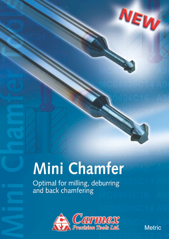## Mini Chamfer

Optimal for milling, deburring<br>and back chamfering



**Metric** 

NEW